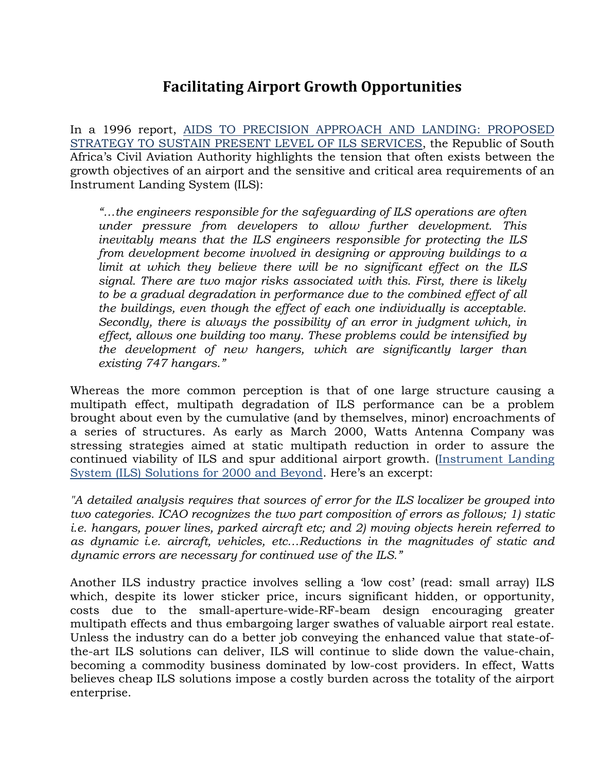## **Facilitating Airport Growth Opportunities**

In a 1996 report, AIDS TO PRECISION APPROACH AND LANDING: PROPOSED STRATEGY TO SUSTAIN PRESENT LEVEL OF ILS SERVICES, the Republic of South Africa's Civil Aviation Authority highlights the tension that often exists between the growth objectives of an airport and the sensitive and critical area requirements of an Instrument Landing System (ILS):

*"…the engineers responsible for the safeguarding of ILS operations are often under pressure from developers to allow further development. This inevitably means that the ILS engineers responsible for protecting the ILS from development become involved in designing or approving buildings to a limit at which they believe there will be no significant effect on the ILS signal. There are two major risks associated with this. First, there is likely to be a gradual degradation in performance due to the combined effect of all the buildings, even though the effect of each one individually is acceptable. Secondly, there is always the possibility of an error in judgment which, in effect, allows one building too many. These problems could be intensified by the development of new hangers, which are significantly larger than existing 747 hangars."* 

Whereas the more common perception is that of one large structure causing a multipath effect, multipath degradation of ILS performance can be a problem brought about even by the cumulative (and by themselves, minor) encroachments of a series of structures. As early as March 2000, Watts Antenna Company was stressing strategies aimed at static multipath reduction in order to assure the continued viability of ILS and spur additional airport growth. (Instrument Landing System (ILS) Solutions for 2000 and Beyond. Here's an excerpt:

*"A detailed analysis requires that sources of error for the ILS localizer be grouped into two categories. ICAO recognizes the two part composition of errors as follows; 1) static i.e. hangars, power lines, parked aircraft etc; and 2) moving objects herein referred to as dynamic i.e. aircraft, vehicles, etc…Reductions in the magnitudes of static and dynamic errors are necessary for continued use of the ILS."* 

Another ILS industry practice involves selling a 'low cost' (read: small array) ILS which, despite its lower sticker price, incurs significant hidden, or opportunity, costs due to the small-aperture-wide-RF-beam design encouraging greater multipath effects and thus embargoing larger swathes of valuable airport real estate. Unless the industry can do a better job conveying the enhanced value that state-ofthe-art ILS solutions can deliver, ILS will continue to slide down the value-chain, becoming a commodity business dominated by low-cost providers. In effect, Watts believes cheap ILS solutions impose a costly burden across the totality of the airport enterprise.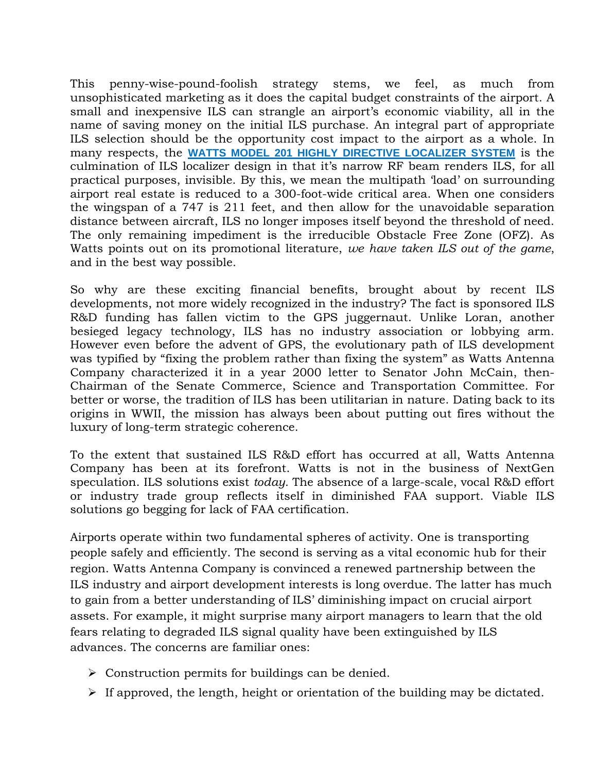This penny-wise-pound-foolish strategy stems, we feel, as much from unsophisticated marketing as it does the capital budget constraints of the airport. A small and inexpensive ILS can strangle an airport's economic viability, all in the name of saving money on the initial ILS purchase. An integral part of appropriate ILS selection should be the opportunity cost impact to the airport as a whole. In many respects, the **WATTS MODEL 201 HIGHLY DIRECTIVE LOCALIZER SYSTEM** is the culmination of ILS localizer design in that it's narrow RF beam renders ILS, for all practical purposes, invisible. By this, we mean the multipath 'load' on surrounding airport real estate is reduced to a 300-foot-wide critical area. When one considers the wingspan of a 747 is 211 feet, and then allow for the unavoidable separation distance between aircraft, ILS no longer imposes itself beyond the threshold of need. The only remaining impediment is the irreducible Obstacle Free Zone (OFZ). As Watts points out on its promotional literature, *we have taken ILS out of the game*, and in the best way possible.

So why are these exciting financial benefits, brought about by recent ILS developments, not more widely recognized in the industry? The fact is sponsored ILS R&D funding has fallen victim to the GPS juggernaut. Unlike Loran, another besieged legacy technology, ILS has no industry association or lobbying arm. However even before the advent of GPS, the evolutionary path of ILS development was typified by "fixing the problem rather than fixing the system" as Watts Antenna Company characterized it in a year 2000 letter to Senator John McCain, then-Chairman of the Senate Commerce, Science and Transportation Committee. For better or worse, the tradition of ILS has been utilitarian in nature. Dating back to its origins in WWII, the mission has always been about putting out fires without the luxury of long-term strategic coherence.

To the extent that sustained ILS R&D effort has occurred at all, Watts Antenna Company has been at its forefront. Watts is not in the business of NextGen speculation. ILS solutions exist *today.* The absence of a large-scale, vocal R&D effort or industry trade group reflects itself in diminished FAA support. Viable ILS solutions go begging for lack of FAA certification.

Airports operate within two fundamental spheres of activity. One is transporting people safely and efficiently. The second is serving as a vital economic hub for their region. Watts Antenna Company is convinced a renewed partnership between the ILS industry and airport development interests is long overdue. The latter has much to gain from a better understanding of ILS' diminishing impact on crucial airport assets. For example, it might surprise many airport managers to learn that the old fears relating to degraded ILS signal quality have been extinguished by ILS advances. The concerns are familiar ones:

- $\triangleright$  Construction permits for buildings can be denied.
- $\triangleright$  If approved, the length, height or orientation of the building may be dictated.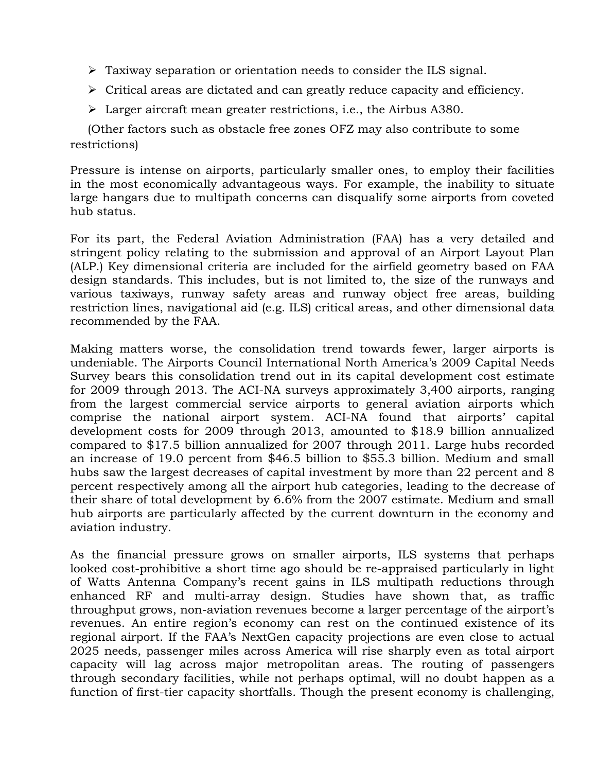- $\triangleright$  Taxiway separation or orientation needs to consider the ILS signal.
- $\triangleright$  Critical areas are dictated and can greatly reduce capacity and efficiency.
- Larger aircraft mean greater restrictions, i.e., the Airbus A380.

(Other factors such as obstacle free zones OFZ may also contribute to some restrictions)

Pressure is intense on airports, particularly smaller ones, to employ their facilities in the most economically advantageous ways. For example, the inability to situate large hangars due to multipath concerns can disqualify some airports from coveted hub status.

For its part, the Federal Aviation Administration (FAA) has a very detailed and stringent policy relating to the submission and approval of an Airport Layout Plan (ALP.) Key dimensional criteria are included for the airfield geometry based on FAA design standards. This includes, but is not limited to, the size of the runways and various taxiways, runway safety areas and runway object free areas, building restriction lines, navigational aid (e.g. ILS) critical areas, and other dimensional data recommended by the FAA.

Making matters worse, the consolidation trend towards fewer, larger airports is undeniable. The Airports Council International North America's 2009 Capital Needs Survey bears this consolidation trend out in its capital development cost estimate for 2009 through 2013. The ACI-NA surveys approximately 3,400 airports, ranging from the largest commercial service airports to general aviation airports which comprise the national airport system. ACI-NA found that airports' capital development costs for 2009 through 2013, amounted to \$18.9 billion annualized compared to \$17.5 billion annualized for 2007 through 2011. Large hubs recorded an increase of 19.0 percent from \$46.5 billion to \$55.3 billion. Medium and small hubs saw the largest decreases of capital investment by more than 22 percent and 8 percent respectively among all the airport hub categories, leading to the decrease of their share of total development by 6.6% from the 2007 estimate. Medium and small hub airports are particularly affected by the current downturn in the economy and aviation industry.

As the financial pressure grows on smaller airports, ILS systems that perhaps looked cost-prohibitive a short time ago should be re-appraised particularly in light of Watts Antenna Company's recent gains in ILS multipath reductions through enhanced RF and multi-array design. Studies have shown that, as traffic throughput grows, non-aviation revenues become a larger percentage of the airport's revenues. An entire region's economy can rest on the continued existence of its regional airport. If the FAA's NextGen capacity projections are even close to actual 2025 needs, passenger miles across America will rise sharply even as total airport capacity will lag across major metropolitan areas. The routing of passengers through secondary facilities, while not perhaps optimal, will no doubt happen as a function of first-tier capacity shortfalls. Though the present economy is challenging,